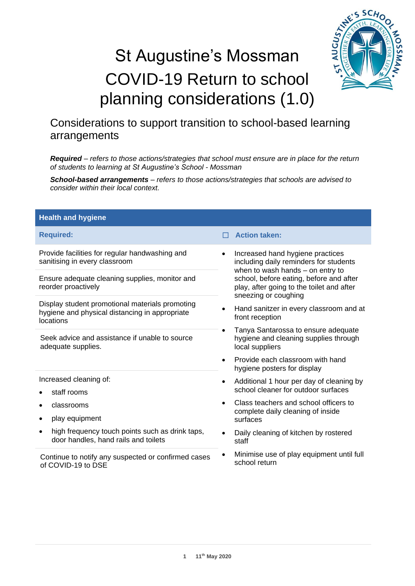# St Augustine's Mossman COVID-19 Return to school planning considerations (1.0)



# Considerations to support transition to school-based learning arrangements

*Required – refers to those actions/strategies that school must ensure are in place for the return of students to learning at St Augustine's School - Mossman*

*School-based arrangements – refers to those actions/strategies that schools are advised to consider within their local context.*

| <b>Health and hygiene</b>                                                                                      |                                                                                                                |  |
|----------------------------------------------------------------------------------------------------------------|----------------------------------------------------------------------------------------------------------------|--|
| <b>Required:</b>                                                                                               | <b>Action taken:</b>                                                                                           |  |
| Provide facilities for regular handwashing and<br>sanitising in every classroom                                | Increased hand hygiene practices<br>including daily reminders for students<br>when to wash hands - on entry to |  |
| Ensure adequate cleaning supplies, monitor and<br>reorder proactively                                          | school, before eating, before and after<br>play, after going to the toilet and after<br>sneezing or coughing   |  |
| Display student promotional materials promoting<br>hygiene and physical distancing in appropriate<br>locations | Hand sanitzer in every classroom and at<br>front reception                                                     |  |
| Seek advice and assistance if unable to source<br>adequate supplies.                                           | Tanya Santarossa to ensure adequate<br>hygiene and cleaning supplies through<br>local suppliers                |  |
|                                                                                                                | Provide each classroom with hand<br>hygiene posters for display                                                |  |
| Increased cleaning of:<br>staff rooms                                                                          | Additional 1 hour per day of cleaning by<br>$\bullet$<br>school cleaner for outdoor surfaces                   |  |
| classrooms                                                                                                     | Class teachers and school officers to<br>$\bullet$<br>complete daily cleaning of inside                        |  |
| play equipment                                                                                                 | surfaces                                                                                                       |  |
| high frequency touch points such as drink taps,<br>door handles, hand rails and toilets                        | Daily cleaning of kitchen by rostered<br>staff                                                                 |  |
| Continue to notify any suspected or confirmed cases<br>of COVID-19 to DSE                                      | Minimise use of play equipment until full<br>school return                                                     |  |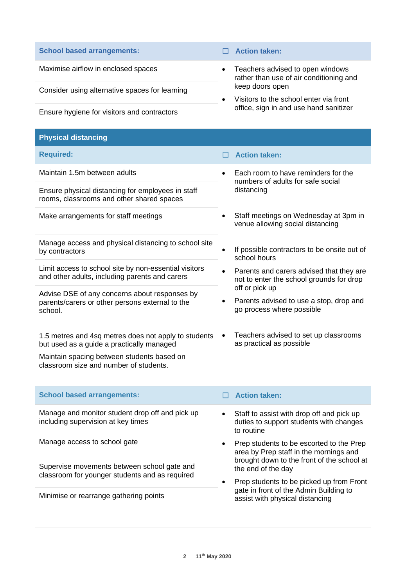Consider using alternative spaces for learning

Ensure hygiene for visitors and contractors

#### **Physical distancing**

| <b>Required:</b> |  |
|------------------|--|
|                  |  |
|                  |  |

Ensure physical distancing for employees in staff rooms, classrooms and other shared spaces

Make arrangements for staff meetings

Manage access and physical distancing to school site by contractors

Limit access to school site by non-essential visitors and other adults, including parents and carers

Advise DSE of any concerns about responses by parents/carers or other persons external to the school.

1.5 metres and 4sq metres does not apply to students but used as a guide a practically managed

Maintain spacing between students based on classroom size and number of students.

- **School based arrangements:** ☐ **Action taken:**
- Maximise airflow in enclosed spaces **•** Teachers advised to open windows rather than use of air conditioning and keep doors open
	- Visitors to the school enter via front office, sign in and use hand sanitizer

## **Required:** ☐ **Action taken:**

- Maintain 1.5m between adults **•** Each room to have reminders for the numbers of adults for safe social distancing
	- Staff meetings on Wednesday at 3pm in venue allowing social distancing
	- If possible contractors to be onsite out of school hours
	- Parents and carers advised that they are not to enter the school grounds for drop off or pick up
	- Parents advised to use a stop, drop and go process where possible
	- Teachers advised to set up classrooms as practical as possible

#### **School based arrangements:** ☐ **Action taken:**

Manage and monitor student drop off and pick up including supervision at key times

Manage access to school gate

Supervise movements between school gate and classroom for younger students and as required

Minimise or rearrange gathering points

- Staff to assist with drop off and pick up duties to support students with changes to routine
- Prep students to be escorted to the Prep area by Prep staff in the mornings and brought down to the front of the school at the end of the day
- Prep students to be picked up from Front gate in front of the Admin Building to assist with physical distancing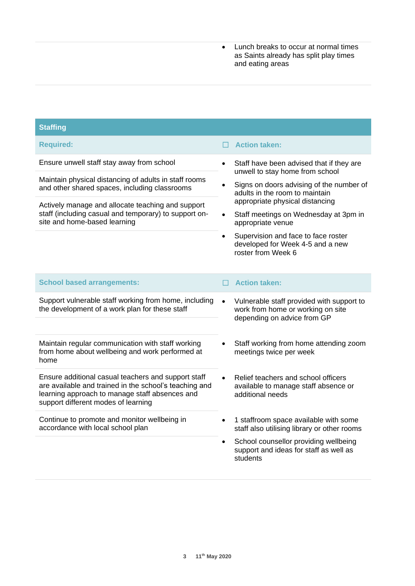• Lunch breaks to occur at normal times as Saints already has split play times and eating areas

| <b>Staffing</b>                                                                                                                                                                                        |           |                                                                                                               |  |  |
|--------------------------------------------------------------------------------------------------------------------------------------------------------------------------------------------------------|-----------|---------------------------------------------------------------------------------------------------------------|--|--|
| <b>Required:</b>                                                                                                                                                                                       |           | <b>Action taken:</b>                                                                                          |  |  |
| Ensure unwell staff stay away from school                                                                                                                                                              | $\bullet$ | Staff have been advised that if they are<br>unwell to stay home from school                                   |  |  |
| Maintain physical distancing of adults in staff rooms<br>and other shared spaces, including classrooms                                                                                                 | $\bullet$ | Signs on doors advising of the number of<br>adults in the room to maintain                                    |  |  |
| Actively manage and allocate teaching and support                                                                                                                                                      | $\bullet$ | appropriate physical distancing                                                                               |  |  |
| staff (including casual and temporary) to support on-<br>site and home-based learning                                                                                                                  |           | Staff meetings on Wednesday at 3pm in<br>appropriate venue                                                    |  |  |
|                                                                                                                                                                                                        | $\bullet$ | Supervision and face to face roster<br>developed for Week 4-5 and a new<br>roster from Week 6                 |  |  |
| <b>School based arrangements:</b>                                                                                                                                                                      |           | <b>Action taken:</b>                                                                                          |  |  |
| Support vulnerable staff working from home, including<br>the development of a work plan for these staff                                                                                                | $\bullet$ | Vulnerable staff provided with support to<br>work from home or working on site<br>depending on advice from GP |  |  |
| Maintain regular communication with staff working<br>from home about wellbeing and work performed at<br>home                                                                                           |           | Staff working from home attending zoom<br>meetings twice per week                                             |  |  |
| Ensure additional casual teachers and support staff<br>are available and trained in the school's teaching and<br>learning approach to manage staff absences and<br>support different modes of learning |           | Relief teachers and school officers<br>available to manage staff absence or<br>additional needs               |  |  |
| Continue to promote and monitor wellbeing in<br>accordance with local school plan                                                                                                                      | $\bullet$ | 1 staffroom space available with some<br>staff also utilising library or other rooms                          |  |  |
|                                                                                                                                                                                                        | $\bullet$ | School counsellor providing wellbeing<br>support and ideas for staff as well as<br>students                   |  |  |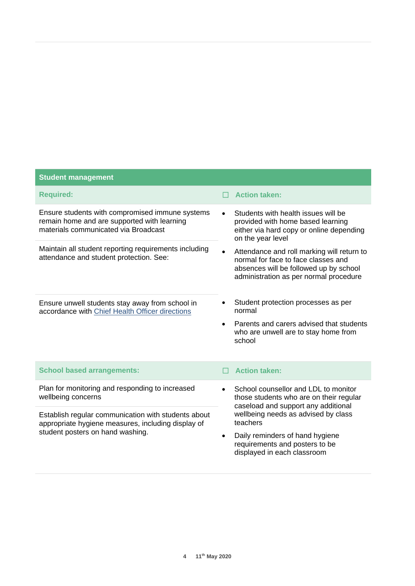| <b>Student management</b>                                                                                                                     |                                                                                                                                                                                    |
|-----------------------------------------------------------------------------------------------------------------------------------------------|------------------------------------------------------------------------------------------------------------------------------------------------------------------------------------|
| <b>Required:</b>                                                                                                                              | <b>Action taken:</b>                                                                                                                                                               |
| Ensure students with compromised immune systems<br>remain home and are supported with learning<br>materials communicated via Broadcast        | Students with health issues will be<br>$\bullet$<br>provided with home based learning<br>either via hard copy or online depending<br>on the year level                             |
| Maintain all student reporting requirements including<br>attendance and student protection. See:                                              | Attendance and roll marking will return to<br>$\bullet$<br>normal for face to face classes and<br>absences will be followed up by school<br>administration as per normal procedure |
| Ensure unwell students stay away from school in<br>accordance with Chief Health Officer directions                                            | Student protection processes as per<br>normal                                                                                                                                      |
|                                                                                                                                               | Parents and carers advised that students<br>$\bullet$<br>who are unwell are to stay home from<br>school                                                                            |
| <b>School based arrangements:</b>                                                                                                             | <b>Action taken:</b>                                                                                                                                                               |
| Plan for monitoring and responding to increased<br>wellbeing concerns                                                                         | School counsellor and LDL to monitor<br>$\bullet$<br>those students who are on their regular<br>caseload and support any additional                                                |
| Establish regular communication with students about<br>appropriate hygiene measures, including display of<br>student posters on hand washing. | wellbeing needs as advised by class<br>teachers                                                                                                                                    |
|                                                                                                                                               | Daily reminders of hand hygiene<br>$\bullet$<br>requirements and posters to be<br>displayed in each classroom                                                                      |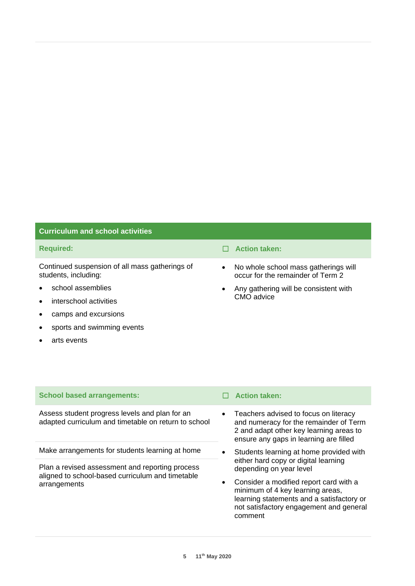### **Curriculum and school activities**

Continued suspension of all mass gatherings of students, including:

- school assemblies
- interschool activities
- camps and excursions
- sports and swimming events
- arts events
- **Required:** ☐ **Action taken:**
	- No whole school mass gatherings will occur for the remainder of Term 2
	- Any gathering will be consistent with CMO advice

| Assess student progress levels and plan for an<br>adapted curriculum and timetable on return to school | Teach<br>and nu<br>2 and a<br>ensure |
|--------------------------------------------------------------------------------------------------------|--------------------------------------|
|                                                                                                        |                                      |

**School based arrangements:** ☐ **Action taken:**

Make arrangements for students learning at home

Plan a revised assessment and reporting process aligned to school-based curriculum and timetable arrangements

- ers advised to focus on literacy and and remainder of Term adapt other key learning areas to e any gaps in learning are filled
- Students learning at home provided with either hard copy or digital learning depending on year level
- Consider a modified report card with a minimum of 4 key learning areas, learning statements and a satisfactory or not satisfactory engagement and general comment